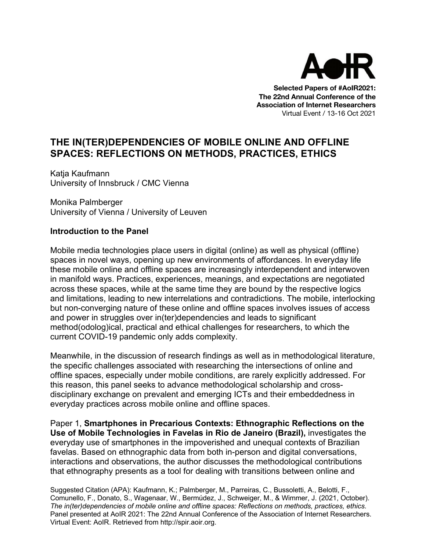

**Selected Papers of #AoIR2021: The 22nd Annual Conference of the Association of Internet Researchers** Virtual Event / 13-16 Oct 2021

# **THE IN(TER)DEPENDENCIES OF MOBILE ONLINE AND OFFLINE SPACES: REFLECTIONS ON METHODS, PRACTICES, ETHICS**

Katja Kaufmann University of Innsbruck / CMC Vienna

Monika Palmberger University of Vienna / University of Leuven

### **Introduction to the Panel**

Mobile media technologies place users in digital (online) as well as physical (offline) spaces in novel ways, opening up new environments of affordances. In everyday life these mobile online and offline spaces are increasingly interdependent and interwoven in manifold ways. Practices, experiences, meanings, and expectations are negotiated across these spaces, while at the same time they are bound by the respective logics and limitations, leading to new interrelations and contradictions. The mobile, interlocking but non-converging nature of these online and offline spaces involves issues of access and power in struggles over in(ter)dependencies and leads to significant method(odolog)ical, practical and ethical challenges for researchers, to which the current COVID-19 pandemic only adds complexity.

Meanwhile, in the discussion of research findings as well as in methodological literature, the specific challenges associated with researching the intersections of online and offline spaces, especially under mobile conditions, are rarely explicitly addressed. For this reason, this panel seeks to advance methodological scholarship and crossdisciplinary exchange on prevalent and emerging ICTs and their embeddedness in everyday practices across mobile online and offline spaces.

Paper 1, **Smartphones in Precarious Contexts: Ethnographic Reflections on the Use of Mobile Technologies in Favelas in Rio de Janeiro (Brazil),** investigates the everyday use of smartphones in the impoverished and unequal contexts of Brazilian favelas. Based on ethnographic data from both in-person and digital conversations, interactions and observations, the author discusses the methodological contributions that ethnography presents as a tool for dealing with transitions between online and

Suggested Citation (APA): Kaufmann, K.; Palmberger, M., Parreiras, C., Bussoletti, A., Belotti, F., Comunello, F., Donato, S., Wagenaar, W., Bermúdez, J., Schweiger, M., & Wimmer, J. (2021, October). *The in(ter)dependencies of mobile online and offline spaces: Reflections on methods, practices, ethics*. Panel presented at AoIR 2021: The 22nd Annual Conference of the Association of Internet Researchers. Virtual Event: AoIR. Retrieved from http://spir.aoir.org.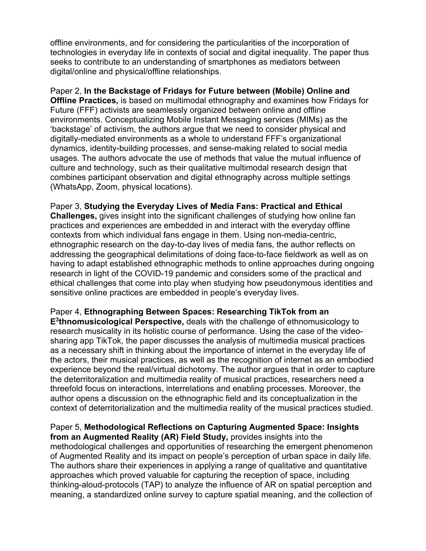offline environments, and for considering the particularities of the incorporation of technologies in everyday life in contexts of social and digital inequality. The paper thus seeks to contribute to an understanding of smartphones as mediators between digital/online and physical/offline relationships.

Paper 2, **In the Backstage of Fridays for Future between (Mobile) Online and Offline Practices,** is based on multimodal ethnography and examines how Fridays for Future (FFF) activists are seamlessly organized between online and offline environments. Conceptualizing Mobile Instant Messaging services (MIMs) as the 'backstage' of activism, the authors argue that we need to consider physical and digitally-mediated environments as a whole to understand FFF's organizational dynamics, identity-building processes, and sense-making related to social media usages. The authors advocate the use of methods that value the mutual influence of culture and technology, such as their qualitative multimodal research design that combines participant observation and digital ethnography across multiple settings (WhatsApp, Zoom, physical locations).

Paper 3, **Studying the Everyday Lives of Media Fans: Practical and Ethical Challenges,** gives insight into the significant challenges of studying how online fan practices and experiences are embedded in and interact with the everyday offline contexts from which individual fans engage in them. Using non-media-centric, ethnographic research on the day-to-day lives of media fans, the author reflects on addressing the geographical delimitations of doing face-to-face fieldwork as well as on having to adapt established ethnographic methods to online approaches during ongoing research in light of the COVID-19 pandemic and considers some of the practical and ethical challenges that come into play when studying how pseudonymous identities and sensitive online practices are embedded in people's everyday lives.

Paper 4, **Ethnographing Between Spaces: Researching TikTok from an E3thnomusicological Perspective,** deals with the challenge of ethnomusicology to research musicality in its holistic course of performance. Using the case of the videosharing app TikTok, the paper discusses the analysis of multimedia musical practices as a necessary shift in thinking about the importance of internet in the everyday life of the actors, their musical practices, as well as the recognition of internet as an embodied experience beyond the real/virtual dichotomy. The author argues that in order to capture the deterritoralization and multimedia reality of musical practices, researchers need a threefold focus on interactions, interrelations and enabling processes. Moreover, the author opens a discussion on the ethnographic field and its conceptualization in the context of deterritorialization and the multimedia reality of the musical practices studied.

Paper 5, **Methodological Reflections on Capturing Augmented Space: Insights from an Augmented Reality (AR) Field Study,** provides insights into the methodological challenges and opportunities of researching the emergent phenomenon of Augmented Reality and its impact on people's perception of urban space in daily life. The authors share their experiences in applying a range of qualitative and quantitative approaches which proved valuable for capturing the reception of space, including thinking-aloud-protocols (TAP) to analyze the influence of AR on spatial perception and meaning, a standardized online survey to capture spatial meaning, and the collection of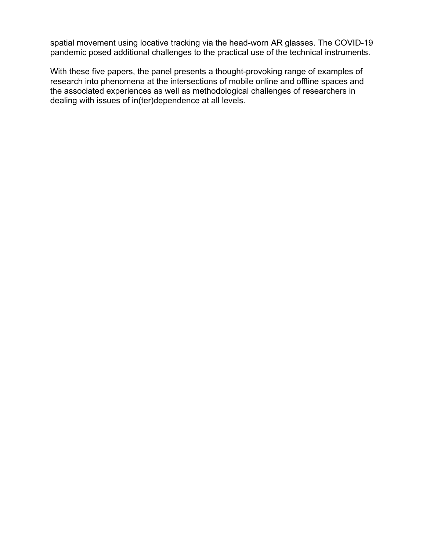spatial movement using locative tracking via the head-worn AR glasses. The COVID-19 pandemic posed additional challenges to the practical use of the technical instruments.

With these five papers, the panel presents a thought-provoking range of examples of research into phenomena at the intersections of mobile online and offline spaces and the associated experiences as well as methodological challenges of researchers in dealing with issues of in(ter)dependence at all levels.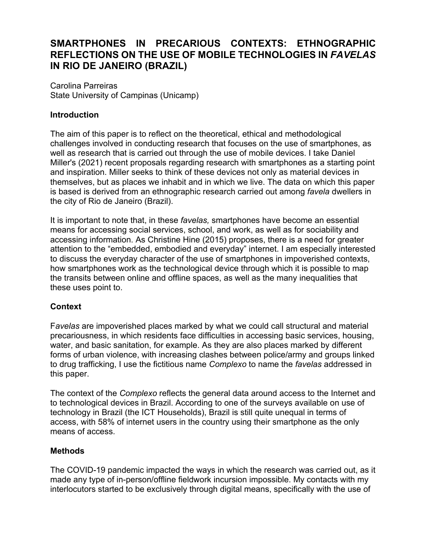# **SMARTPHONES IN PRECARIOUS CONTEXTS: ETHNOGRAPHIC REFLECTIONS ON THE USE OF MOBILE TECHNOLOGIES IN** *FAVELAS* **IN RIO DE JANEIRO (BRAZIL)**

Carolina Parreiras State University of Campinas (Unicamp)

## **Introduction**

The aim of this paper is to reflect on the theoretical, ethical and methodological challenges involved in conducting research that focuses on the use of smartphones, as well as research that is carried out through the use of mobile devices. I take Daniel Miller's (2021) recent proposals regarding research with smartphones as a starting point and inspiration. Miller seeks to think of these devices not only as material devices in themselves, but as places we inhabit and in which we live. The data on which this paper is based is derived from an ethnographic research carried out among *favela* dwellers in the city of Rio de Janeiro (Brazil).

It is important to note that, in these *favelas,* smartphones have become an essential means for accessing social services, school, and work, as well as for sociability and accessing information. As Christine Hine (2015) proposes, there is a need for greater attention to the "embedded, embodied and everyday" internet. I am especially interested to discuss the everyday character of the use of smartphones in impoverished contexts, how smartphones work as the technological device through which it is possible to map the transits between online and offline spaces, as well as the many inequalities that these uses point to.

### **Context**

F*avelas* are impoverished places marked by what we could call structural and material precariousness, in which residents face difficulties in accessing basic services, housing, water, and basic sanitation, for example. As they are also places marked by different forms of urban violence, with increasing clashes between police/army and groups linked to drug trafficking, I use the fictitious name *Complexo* to name the *favelas* addressed in this paper.

The context of the *Complexo* reflects the general data around access to the Internet and to technological devices in Brazil. According to one of the surveys available on use of technology in Brazil (the ICT Households), Brazil is still quite unequal in terms of access, with 58% of internet users in the country using their smartphone as the only means of access.

### **Methods**

The COVID-19 pandemic impacted the ways in which the research was carried out, as it made any type of in-person/offline fieldwork incursion impossible. My contacts with my interlocutors started to be exclusively through digital means, specifically with the use of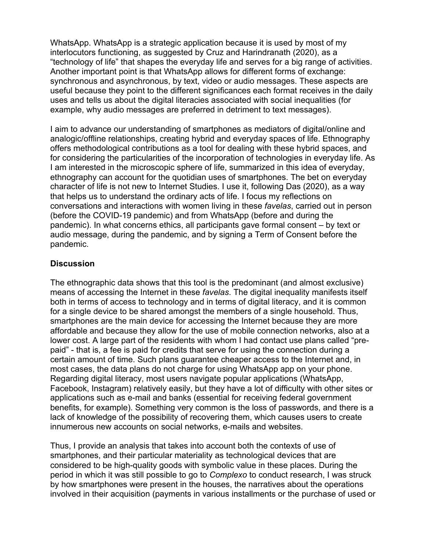WhatsApp. WhatsApp is a strategic application because it is used by most of my interlocutors functioning, as suggested by Cruz and Harindranath (2020), as a "technology of life" that shapes the everyday life and serves for a big range of activities. Another important point is that WhatsApp allows for different forms of exchange: synchronous and asynchronous, by text, video or audio messages. These aspects are useful because they point to the different significances each format receives in the daily uses and tells us about the digital literacies associated with social inequalities (for example, why audio messages are preferred in detriment to text messages).

I aim to advance our understanding of smartphones as mediators of digital/online and analogic/offline relationships, creating hybrid and everyday spaces of life. Ethnography offers methodological contributions as a tool for dealing with these hybrid spaces, and for considering the particularities of the incorporation of technologies in everyday life. As I am interested in the microscopic sphere of life, summarized in this idea of everyday, ethnography can account for the quotidian uses of smartphones. The bet on everyday character of life is not new to Internet Studies. I use it, following Das (2020), as a way that helps us to understand the ordinary acts of life. I focus my reflections on conversations and interactions with women living in these *favelas*, carried out in person (before the COVID-19 pandemic) and from WhatsApp (before and during the pandemic). In what concerns ethics, all participants gave formal consent – by text or audio message, during the pandemic, and by signing a Term of Consent before the pandemic.

## **Discussion**

The ethnographic data shows that this tool is the predominant (and almost exclusive) means of accessing the Internet in these *favelas*. The digital inequality manifests itself both in terms of access to technology and in terms of digital literacy, and it is common for a single device to be shared amongst the members of a single household. Thus, smartphones are the main device for accessing the Internet because they are more affordable and because they allow for the use of mobile connection networks, also at a lower cost. A large part of the residents with whom I had contact use plans called "prepaid" - that is, a fee is paid for credits that serve for using the connection during a certain amount of time. Such plans guarantee cheaper access to the Internet and, in most cases, the data plans do not charge for using WhatsApp app on your phone. Regarding digital literacy, most users navigate popular applications (WhatsApp, Facebook, Instagram) relatively easily, but they have a lot of difficulty with other sites or applications such as e-mail and banks (essential for receiving federal government benefits, for example). Something very common is the loss of passwords, and there is a lack of knowledge of the possibility of recovering them, which causes users to create innumerous new accounts on social networks, e-mails and websites.

Thus, I provide an analysis that takes into account both the contexts of use of smartphones, and their particular materiality as technological devices that are considered to be high-quality goods with symbolic value in these places. During the period in which it was still possible to go to *Complexo* to conduct research, I was struck by how smartphones were present in the houses, the narratives about the operations involved in their acquisition (payments in various installments or the purchase of used or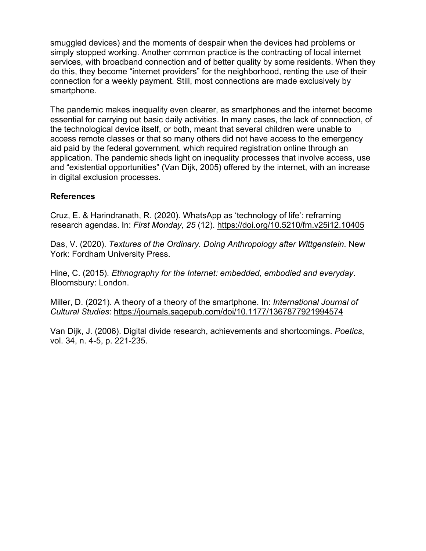smuggled devices) and the moments of despair when the devices had problems or simply stopped working. Another common practice is the contracting of local internet services, with broadband connection and of better quality by some residents. When they do this, they become "internet providers" for the neighborhood, renting the use of their connection for a weekly payment. Still, most connections are made exclusively by smartphone.

The pandemic makes inequality even clearer, as smartphones and the internet become essential for carrying out basic daily activities. In many cases, the lack of connection, of the technological device itself, or both, meant that several children were unable to access remote classes or that so many others did not have access to the emergency aid paid by the federal government, which required registration online through an application. The pandemic sheds light on inequality processes that involve access, use and "existential opportunities" (Van Dijk, 2005) offered by the internet, with an increase in digital exclusion processes.

### **References**

Cruz, E. & Harindranath, R. (2020). WhatsApp as 'technology of life': reframing research agendas. In: *First Monday, 25* (12). https://doi.org/10.5210/fm.v25i12.10405

Das, V. (2020). *Textures of the Ordinary. Doing Anthropology after Wittgenstein*. New York: Fordham University Press.

Hine, C. (2015). *Ethnography for the Internet: embedded, embodied and everyday*. Bloomsbury: London.

Miller, D. (2021). A theory of a theory of the smartphone. In: *International Journal of Cultural Studies*: https://journals.sagepub.com/doi/10.1177/1367877921994574

Van Dijk, J. (2006). Digital divide research, achievements and shortcomings. *Poetics*, vol. 34, n. 4-5, p. 221-235.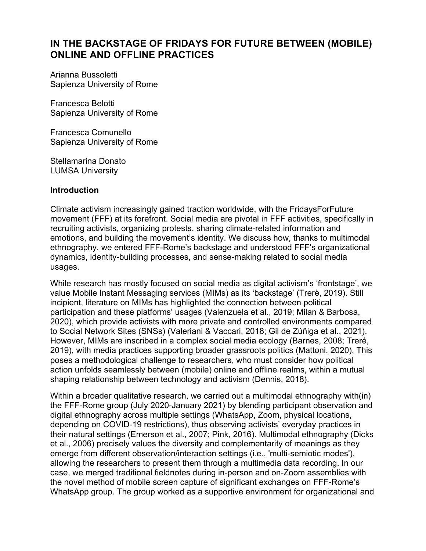# **IN THE BACKSTAGE OF FRIDAYS FOR FUTURE BETWEEN (MOBILE) ONLINE AND OFFLINE PRACTICES**

Arianna Bussoletti Sapienza University of Rome

Francesca Belotti Sapienza University of Rome

Francesca Comunello Sapienza University of Rome

Stellamarina Donato LUMSA University

### **Introduction**

Climate activism increasingly gained traction worldwide, with the FridaysForFuture movement (FFF) at its forefront. Social media are pivotal in FFF activities, specifically in recruiting activists, organizing protests, sharing climate-related information and emotions, and building the movement's identity. We discuss how, thanks to multimodal ethnography, we entered FFF-Rome's backstage and understood FFF's organizational dynamics, identity-building processes, and sense-making related to social media usages.

While research has mostly focused on social media as digital activism's 'frontstage', we value Mobile Instant Messaging services (MIMs) as its 'backstage' (Trerè, 2019). Still incipient, literature on MIMs has highlighted the connection between political participation and these platforms' usages (Valenzuela et al., 2019; Milan & Barbosa, 2020), which provide activists with more private and controlled environments compared to Social Network Sites (SNSs) (Valeriani & Vaccari, 2018; Gil de Zúñiga et al., 2021). However, MIMs are inscribed in a complex social media ecology (Barnes, 2008; Treré, 2019), with media practices supporting broader grassroots politics (Mattoni, 2020). This poses a methodological challenge to researchers, who must consider how political action unfolds seamlessly between (mobile) online and offline realms, within a mutual shaping relationship between technology and activism (Dennis, 2018).

Within a broader qualitative research, we carried out a multimodal ethnography with(in) the FFF-Rome group (July 2020-January 2021) by blending participant observation and digital ethnography across multiple settings (WhatsApp, Zoom, physical locations, depending on COVID-19 restrictions), thus observing activists' everyday practices in their natural settings (Emerson et al., 2007; Pink, 2016). Multimodal ethnography (Dicks et al., 2006) precisely values the diversity and complementarity of meanings as they emerge from different observation/interaction settings (i.e., 'multi-semiotic modes'), allowing the researchers to present them through a multimedia data recording. In our case, we merged traditional fieldnotes during in-person and on-Zoom assemblies with the novel method of mobile screen capture of significant exchanges on FFF-Rome's WhatsApp group. The group worked as a supportive environment for organizational and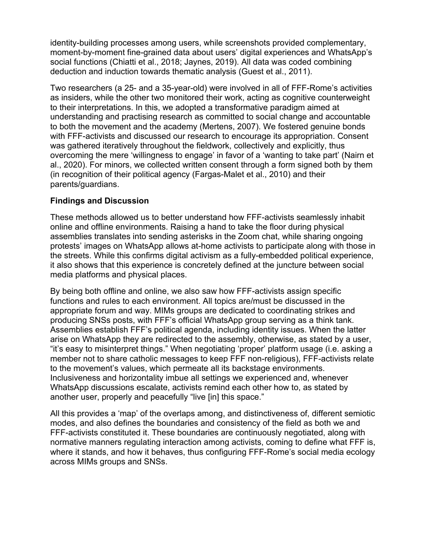identity-building processes among users, while screenshots provided complementary, moment-by-moment fine-grained data about users' digital experiences and WhatsApp's social functions (Chiatti et al., 2018; Jaynes, 2019). All data was coded combining deduction and induction towards thematic analysis (Guest et al., 2011).

Two researchers (a 25- and a 35-year-old) were involved in all of FFF-Rome's activities as insiders, while the other two monitored their work, acting as cognitive counterweight to their interpretations. In this, we adopted a transformative paradigm aimed at understanding and practising research as committed to social change and accountable to both the movement and the academy (Mertens, 2007). We fostered genuine bonds with FFF-activists and discussed our research to encourage its appropriation. Consent was gathered iteratively throughout the fieldwork, collectively and explicitly, thus overcoming the mere 'willingness to engage' in favor of a 'wanting to take part' (Nairn et al., 2020). For minors, we collected written consent through a form signed both by them (in recognition of their political agency (Fargas-Malet et al., 2010) and their parents/guardians.

## **Findings and Discussion**

These methods allowed us to better understand how FFF-activists seamlessly inhabit online and offline environments. Raising a hand to take the floor during physical assemblies translates into sending asterisks in the Zoom chat, while sharing ongoing protests' images on WhatsApp allows at-home activists to participate along with those in the streets. While this confirms digital activism as a fully-embedded political experience, it also shows that this experience is concretely defined at the juncture between social media platforms and physical places.

By being both offline and online, we also saw how FFF-activists assign specific functions and rules to each environment. All topics are/must be discussed in the appropriate forum and way. MIMs groups are dedicated to coordinating strikes and producing SNSs posts, with FFF's official WhatsApp group serving as a think tank. Assemblies establish FFF's political agenda, including identity issues. When the latter arise on WhatsApp they are redirected to the assembly, otherwise, as stated by a user, "it's easy to misinterpret things." When negotiating 'proper' platform usage (i.e. asking a member not to share catholic messages to keep FFF non-religious), FFF-activists relate to the movement's values, which permeate all its backstage environments. Inclusiveness and horizontality imbue all settings we experienced and, whenever WhatsApp discussions escalate, activists remind each other how to, as stated by another user, properly and peacefully "live [in] this space."

All this provides a 'map' of the overlaps among, and distinctiveness of, different semiotic modes, and also defines the boundaries and consistency of the field as both we and FFF-activists constituted it. These boundaries are continuously negotiated, along with normative manners regulating interaction among activists, coming to define what FFF is, where it stands, and how it behaves, thus configuring FFF-Rome's social media ecology across MIMs groups and SNSs.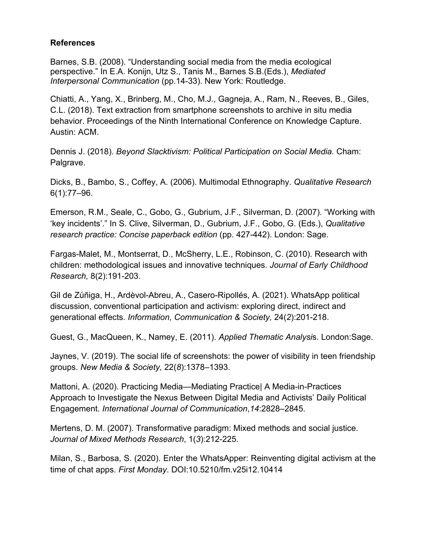### **References**

Barnes, S.B. (2008). "Understanding social media from the media ecological perspective." In E.A. Konijn, Utz S., Tanis M., Barnes S.B.(Eds.), *Mediated Interpersonal Communication* (pp.14-33). New York: Routledge.

Chiatti, A., Yang, X., Brinberg, M., Cho, M.J., Gagneja, A., Ram, N., Reeves, B., Giles, C.L. (2018). Text extraction from smartphone screenshots to archive in situ media behavior. Proceedings of the Ninth International Conference on Knowledge Capture. Austin: ACM.

Dennis J. (2018). *Beyond Slacktivism: Political Participation on Social Media.* Cham: Palgrave.

Dicks, B., Bambo, S., Coffey, A. (2006). Multimodal Ethnography. *Qualitative Research* 6(1):77–96.

Emerson, R.M., Seale, C., Gobo, G., Gubrium, J.F., Silverman, D. (2007). "Working with 'key incidents'." In S. Clive, Silverman, D., Gubrium, J.F., Gobo, G. (Eds.), *Qualitative research practice: Concise paperback edition (pp. 427-442). London: Sage.* 

Fargas-Malet, M., Montserrat, D., McSherry, L.E., Robinson, C. (2010). Research with children: methodological issues and innovative techniques. *Journal of Early Childhood Research,* 8(2):191-203.

Gil de Zúñiga, H., Ardèvol-Abreu, A., Casero-Ripollés, A. (2021). WhatsApp political discussion, conventional participation and activism: exploring direct, indirect and generational effects. *Information, Communication & Society,* 24(*2*):201-218.

Guest, G., MacQueen, K., Namey, E. (2011). *Applied Thematic Analysi*s. London:Sage.

Jaynes, V. (2019). The social life of screenshots: the power of visibility in teen friendship groups. *New Media & Society,* 22(*8*):1378–1393.

Mattoni, A. (2020). Practicing Media—Mediating Practice| A Media-in-Practices Approach to Investigate the Nexus Between Digital Media and Activists' Daily Political Engagement. *International Journal of Communication*,*14*:2828–2845.

Mertens, D. M. (2007). Transformative paradigm: Mixed methods and social justice. *Journal of Mixed Methods Research*, 1(*3*):212-225.

Milan, S., Barbosa, S. (2020). Enter the WhatsApper: Reinventing digital activism at the time of chat apps. *First Monday*. DOI:10.5210/fm.v25i12.10414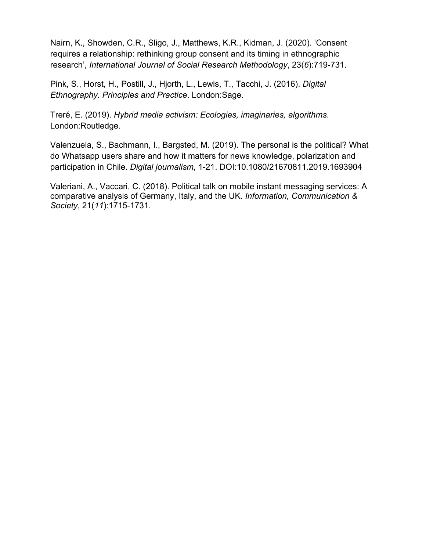Nairn, K., Showden, C.R., Sligo, J., Matthews, K.R., Kidman, J. (2020). 'Consent requires a relationship: rethinking group consent and its timing in ethnographic research', *International Journal of Social Research Methodology*, 23(*6*):719-731.

Pink, S., Horst, H., Postill, J., Hjorth, L., Lewis, T., Tacchi, J. (2016). *Digital Ethnography. Principles and Practice*. London:Sage.

Treré, E. (2019). *Hybrid media activism: Ecologies, imaginaries, algorithms*. London:Routledge.

Valenzuela, S., Bachmann, I., Bargsted, M. (2019). The personal is the political? What do Whatsapp users share and how it matters for news knowledge, polarization and participation in Chile. *Digital journalism*, 1-21. DOI:10.1080/21670811.2019.1693904

Valeriani, A., Vaccari, C. (2018). Political talk on mobile instant messaging services: A comparative analysis of Germany, Italy, and the UK. *Information, Communication & Society*, 21(*11*):1715-1731.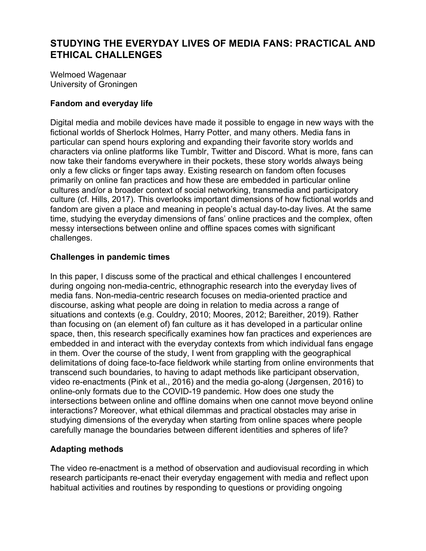Welmoed Wagenaar University of Groningen

# **Fandom and everyday life**

Digital media and mobile devices have made it possible to engage in new ways with the fictional worlds of Sherlock Holmes, Harry Potter, and many others. Media fans in particular can spend hours exploring and expanding their favorite story worlds and characters via online platforms like Tumblr, Twitter and Discord. What is more, fans can now take their fandoms everywhere in their pockets, these story worlds always being only a few clicks or finger taps away. Existing research on fandom often focuses primarily on online fan practices and how these are embedded in particular online cultures and/or a broader context of social networking, transmedia and participatory culture (cf. Hills, 2017). This overlooks important dimensions of how fictional worlds and fandom are given a place and meaning in people's actual day-to-day lives. At the same time, studying the everyday dimensions of fans' online practices and the complex, often messy intersections between online and offline spaces comes with significant challenges.

# **Challenges in pandemic times**

In this paper, I discuss some of the practical and ethical challenges I encountered during ongoing non-media-centric, ethnographic research into the everyday lives of media fans. Non-media-centric research focuses on media-oriented practice and discourse, asking what people are doing in relation to media across a range of situations and contexts (e.g. Couldry, 2010; Moores, 2012; Bareither, 2019). Rather than focusing on (an element of) fan culture as it has developed in a particular online space, then, this research specifically examines how fan practices and experiences are embedded in and interact with the everyday contexts from which individual fans engage in them. Over the course of the study, I went from grappling with the geographical delimitations of doing face-to-face fieldwork while starting from online environments that transcend such boundaries, to having to adapt methods like participant observation, video re-enactments (Pink et al., 2016) and the media go-along (Jørgensen, 2016) to online-only formats due to the COVID-19 pandemic. How does one study the intersections between online and offline domains when one cannot move beyond online interactions? Moreover, what ethical dilemmas and practical obstacles may arise in studying dimensions of the everyday when starting from online spaces where people carefully manage the boundaries between different identities and spheres of life?

# **Adapting methods**

The video re-enactment is a method of observation and audiovisual recording in which research participants re-enact their everyday engagement with media and reflect upon habitual activities and routines by responding to questions or providing ongoing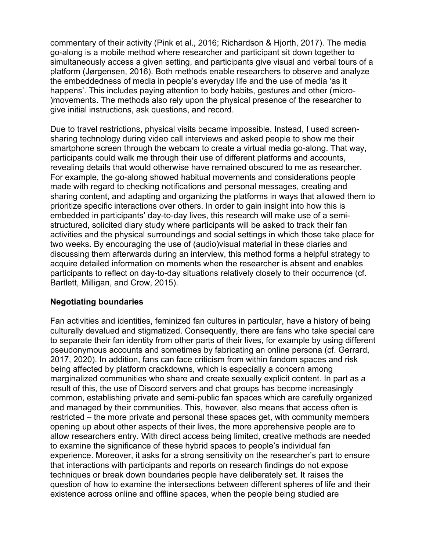commentary of their activity (Pink et al., 2016; Richardson & Hjorth, 2017). The media go-along is a mobile method where researcher and participant sit down together to simultaneously access a given setting, and participants give visual and verbal tours of a platform (Jørgensen, 2016). Both methods enable researchers to observe and analyze the embeddedness of media in people's everyday life and the use of media 'as it happens'. This includes paying attention to body habits, gestures and other (micro- )movements. The methods also rely upon the physical presence of the researcher to give initial instructions, ask questions, and record.

Due to travel restrictions, physical visits became impossible. Instead, I used screensharing technology during video call interviews and asked people to show me their smartphone screen through the webcam to create a virtual media go-along. That way, participants could walk me through their use of different platforms and accounts, revealing details that would otherwise have remained obscured to me as researcher. For example, the go-along showed habitual movements and considerations people made with regard to checking notifications and personal messages, creating and sharing content, and adapting and organizing the platforms in ways that allowed them to prioritize specific interactions over others. In order to gain insight into how this is embedded in participants' day-to-day lives, this research will make use of a semistructured, solicited diary study where participants will be asked to track their fan activities and the physical surroundings and social settings in which those take place for two weeks. By encouraging the use of (audio)visual material in these diaries and discussing them afterwards during an interview, this method forms a helpful strategy to acquire detailed information on moments when the researcher is absent and enables participants to reflect on day-to-day situations relatively closely to their occurrence (cf. Bartlett, Milligan, and Crow, 2015).

# **Negotiating boundaries**

Fan activities and identities, feminized fan cultures in particular, have a history of being culturally devalued and stigmatized. Consequently, there are fans who take special care to separate their fan identity from other parts of their lives, for example by using different pseudonymous accounts and sometimes by fabricating an online persona (cf. Gerrard, 2017, 2020). In addition, fans can face criticism from within fandom spaces and risk being affected by platform crackdowns, which is especially a concern among marginalized communities who share and create sexually explicit content. In part as a result of this, the use of Discord servers and chat groups has become increasingly common, establishing private and semi-public fan spaces which are carefully organized and managed by their communities. This, however, also means that access often is restricted – the more private and personal these spaces get, with community members opening up about other aspects of their lives, the more apprehensive people are to allow researchers entry. With direct access being limited, creative methods are needed to examine the significance of these hybrid spaces to people's individual fan experience. Moreover, it asks for a strong sensitivity on the researcher's part to ensure that interactions with participants and reports on research findings do not expose techniques or break down boundaries people have deliberately set. It raises the question of how to examine the intersections between different spheres of life and their existence across online and offline spaces, when the people being studied are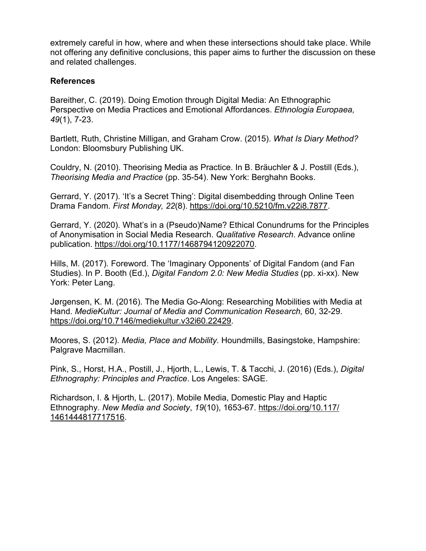extremely careful in how, where and when these intersections should take place. While not offering any definitive conclusions, this paper aims to further the discussion on these and related challenges.

### **References**

Bareither, C. (2019). Doing Emotion through Digital Media: An Ethnographic Perspective on Media Practices and Emotional Affordances. *Ethnologia Europaea, 49*(1), 7-23.

Bartlett, Ruth, Christine Milligan, and Graham Crow. (2015). *What Is Diary Method?* London: Bloomsbury Publishing UK.

Couldry, N. (2010). Theorising Media as Practice. In B. Bräuchler & J. Postill (Eds.), *Theorising Media and Practice* (pp. 35-54). New York: Berghahn Books.

Gerrard, Y. (2017). 'It's a Secret Thing': Digital disembedding through Online Teen Drama Fandom. *First Monday, 22*(8). https://doi.org/10.5210/fm.v22i8.7877.

Gerrard, Y. (2020). What's in a (Pseudo)Name? Ethical Conundrums for the Principles of Anonymisation in Social Media Research. *Qualitative Research*. Advance online publication. https://doi.org/10.1177/1468794120922070.

Hills, M. (2017). Foreword. The 'Imaginary Opponents' of Digital Fandom (and Fan Studies). In P. Booth (Ed.), *Digital Fandom 2.0: New Media Studies* (pp. xi-xx). New York: Peter Lang.

Jørgensen, K. M. (2016). The Media Go-Along: Researching Mobilities with Media at Hand. *MedieKultur: Journal of Media and Communication Research,* 60, 32-29. https://doi.org/10.7146/mediekultur.v32i60.22429.

Moores, S. (2012). *Media, Place and Mobility.* Houndmills, Basingstoke, Hampshire: Palgrave Macmillan.

Pink, S., Horst, H.A., Postill, J., Hjorth, L., Lewis, T. & Tacchi, J. (2016) (Eds.), *Digital Ethnography: Principles and Practice*. Los Angeles: SAGE.

Richardson, I. & Hjorth, L. (2017). Mobile Media, Domestic Play and Haptic Ethnography. *New Media and Society*, *19*(10), 1653-67. https://doi.org/10.117/ 1461444817717516.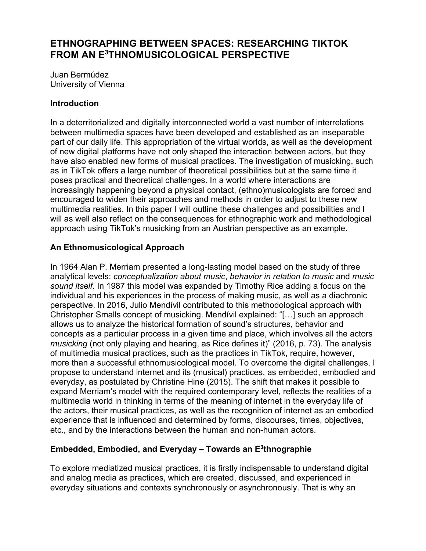# **ETHNOGRAPHING BETWEEN SPACES: RESEARCHING TIKTOK FROM AN E3 THNOMUSICOLOGICAL PERSPECTIVE**

Juan Bermúdez University of Vienna

## **Introduction**

In a deterritorialized and digitally interconnected world a vast number of interrelations between multimedia spaces have been developed and established as an inseparable part of our daily life. This appropriation of the virtual worlds, as well as the development of new digital platforms have not only shaped the interaction between actors, but they have also enabled new forms of musical practices. The investigation of musicking, such as in TikTok offers a large number of theoretical possibilities but at the same time it poses practical and theoretical challenges. In a world where interactions are increasingly happening beyond a physical contact, (ethno)musicologists are forced and encouraged to widen their approaches and methods in order to adjust to these new multimedia realities. In this paper I will outline these challenges and possibilities and I will as well also reflect on the consequences for ethnographic work and methodological approach using TikTok's musicking from an Austrian perspective as an example.

## **An Ethnomusicological Approach**

In 1964 Alan P. Merriam presented a long-lasting model based on the study of three analytical levels: *conceptualization about music*, *behavior in relation to music* and *music sound itself*. In 1987 this model was expanded by Timothy Rice adding a focus on the individual and his experiences in the process of making music, as well as a diachronic perspective. In 2016, Julio Mendívil contributed to this methodological approach with Christopher Smalls concept of musicking. Mendívil explained: "[…] such an approach allows us to analyze the historical formation of sound's structures, behavior and concepts as a particular process in a given time and place, which involves all the actors *musicking* (not only playing and hearing, as Rice defines it)" (2016, p. 73). The analysis of multimedia musical practices, such as the practices in TikTok, require, however, more than a successful ethnomusicological model. To overcome the digital challenges, I propose to understand internet and its (musical) practices, as embedded, embodied and everyday, as postulated by Christine Hine (2015). The shift that makes it possible to expand Merriam's model with the required contemporary level, reflects the realities of a multimedia world in thinking in terms of the meaning of internet in the everyday life of the actors, their musical practices, as well as the recognition of internet as an embodied experience that is influenced and determined by forms, discourses, times, objectives, etc., and by the interactions between the human and non-human actors.

# **Embedded, Embodied, and Everyday – Towards an E3thnographie**

To explore mediatized musical practices, it is firstly indispensable to understand digital and analog media as practices, which are created, discussed, and experienced in everyday situations and contexts synchronously or asynchronously. That is why an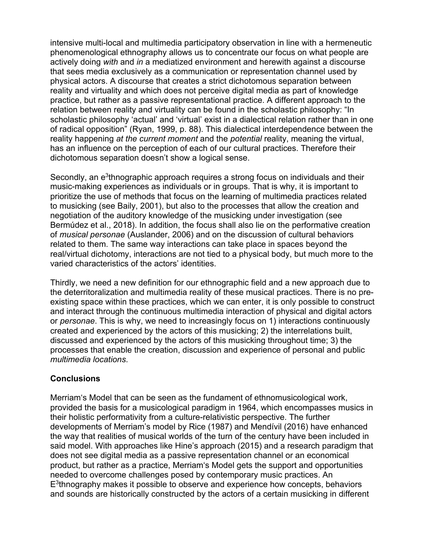intensive multi-local and multimedia participatory observation in line with a hermeneutic phenomenological ethnography allows us to concentrate our focus on what people are actively doing *with* and *in* a mediatized environment and herewith against a discourse that sees media exclusively as a communication or representation channel used by physical actors. A discourse that creates a strict dichotomous separation between reality and virtuality and which does not perceive digital media as part of knowledge practice, but rather as a passive representational practice. A different approach to the relation between reality and virtuality can be found in the scholastic philosophy: "In scholastic philosophy 'actual' and 'virtual' exist in a dialectical relation rather than in one of radical opposition" (Ryan, 1999, p. 88). This dialectical interdependence between the reality happening *at the current moment* and the *potential* reality, meaning the virtual, has an influence on the perception of each of our cultural practices. Therefore their dichotomous separation doesn't show a logical sense.

Secondly, an  $e<sup>3</sup>$ thnographic approach requires a strong focus on individuals and their music-making experiences as individuals or in groups. That is why, it is important to prioritize the use of methods that focus on the learning of multimedia practices related to musicking (see Baily, 2001), but also to the processes that allow the creation and negotiation of the auditory knowledge of the musicking under investigation (see Bermúdez et al., 2018). In addition, the focus shall also lie on the performative creation of *musical personae* (Auslander, 2006) and on the discussion of cultural behaviors related to them. The same way interactions can take place in spaces beyond the real/virtual dichotomy, interactions are not tied to a physical body, but much more to the varied characteristics of the actors' identities.

Thirdly, we need a new definition for our ethnographic field and a new approach due to the deterritoralization and multimedia reality of these musical practices. There is no preexisting space within these practices, which we can enter, it is only possible to construct and interact through the continuous multimedia interaction of physical and digital actors or *personae*. This is why, we need to increasingly focus on 1) interactions continuously created and experienced by the actors of this musicking; 2) the interrelations built, discussed and experienced by the actors of this musicking throughout time; 3) the processes that enable the creation, discussion and experience of personal and public *multimedia locations*.

### **Conclusions**

Merriam's Model that can be seen as the fundament of ethnomusicological work, provided the basis for a musicological paradigm in 1964, which encompasses musics in their holistic performativity from a culture-relativistic perspective. The further developments of Merriam's model by Rice (1987) and Mendívil (2016) have enhanced the way that realities of musical worlds of the turn of the century have been included in said model. With approaches like Hine's approach (2015) and a research paradigm that does not see digital media as a passive representation channel or an economical product, but rather as a practice, Merriam's Model gets the support and opportunities needed to overcome challenges posed by contemporary music practices. An E3thnography makes it possible to observe and experience how concepts, behaviors and sounds are historically constructed by the actors of a certain musicking in different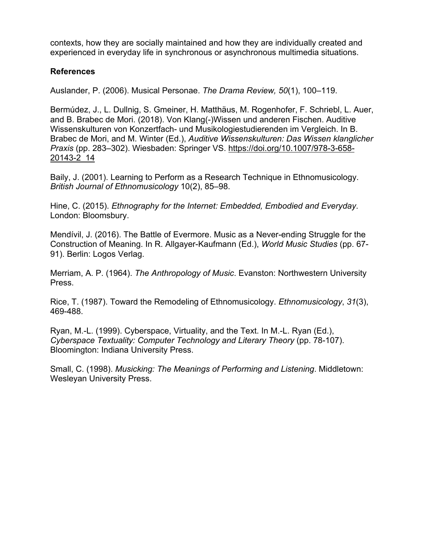contexts, how they are socially maintained and how they are individually created and experienced in everyday life in synchronous or asynchronous multimedia situations.

## **References**

Auslander, P. (2006). Musical Personae. *The Drama Review, 50*(1), 100–119.

Bermúdez, J., L. Dullnig, S. Gmeiner, H. Matthäus, M. Rogenhofer, F. Schriebl, L. Auer, and B. Brabec de Mori. (2018). Von Klang(-)Wissen und anderen Fischen. Auditive Wissenskulturen von Konzertfach- und Musikologiestudierenden im Vergleich. In B. Brabec de Mori, and M. Winter (Ed.), *Auditive Wissenskulturen: Das Wissen klanglicher Praxis* (pp. 283–302). Wiesbaden: Springer VS. https://doi.org/10.1007/978-3-658- 20143-2\_14

Baily, J. (2001). Learning to Perform as a Research Technique in Ethnomusicology. *British Journal of Ethnomusicology* 10(2), 85–98.

Hine, C. (2015). *Ethnography for the Internet: Embedded, Embodied and Everyday*. London: Bloomsbury.

Mendívil, J. (2016). The Battle of Evermore. Music as a Never-ending Struggle for the Construction of Meaning. In R. Allgayer-Kaufmann (Ed.), *World Music Studies* (pp. 67- 91). Berlin: Logos Verlag.

Merriam, A. P. (1964). *The Anthropology of Music*. Evanston: Northwestern University Press.

Rice, T. (1987). Toward the Remodeling of Ethnomusicology. *Ethnomusicology*, *31*(3), 469-488.

Ryan, M.-L. (1999). Cyberspace, Virtuality, and the Text. In M.-L. Ryan (Ed.), *Cyberspace Textuality: Computer Technology and Literary Theory* (pp. 78-107). Bloomington: Indiana University Press.

Small, C. (1998). *Musicking: The Meanings of Performing and Listening*. Middletown: Wesleyan University Press.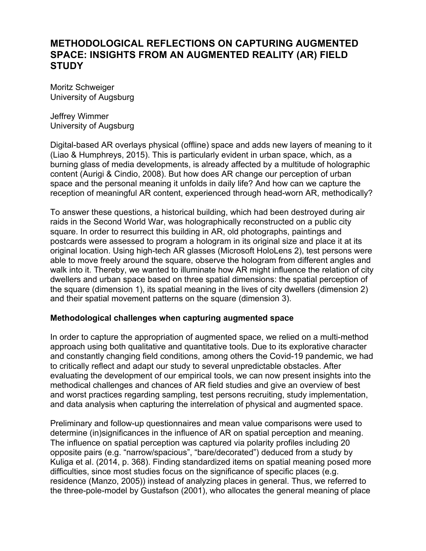# **METHODOLOGICAL REFLECTIONS ON CAPTURING AUGMENTED SPACE: INSIGHTS FROM AN AUGMENTED REALITY (AR) FIELD STUDY**

Moritz Schweiger University of Augsburg

Jeffrey Wimmer University of Augsburg

Digital-based AR overlays physical (offline) space and adds new layers of meaning to it (Liao & Humphreys, 2015). This is particularly evident in urban space, which, as a burning glass of media developments, is already affected by a multitude of holographic content (Aurigi & Cindio, 2008). But how does AR change our perception of urban space and the personal meaning it unfolds in daily life? And how can we capture the reception of meaningful AR content, experienced through head-worn AR, methodically?

To answer these questions, a historical building, which had been destroyed during air raids in the Second World War, was holographically reconstructed on a public city square. In order to resurrect this building in AR, old photographs, paintings and postcards were assessed to program a hologram in its original size and place it at its original location. Using high-tech AR glasses (Microsoft HoloLens 2), test persons were able to move freely around the square, observe the hologram from different angles and walk into it. Thereby, we wanted to illuminate how AR might influence the relation of city dwellers and urban space based on three spatial dimensions: the spatial perception of the square (dimension 1), its spatial meaning in the lives of city dwellers (dimension 2) and their spatial movement patterns on the square (dimension 3).

### **Methodological challenges when capturing augmented space**

In order to capture the appropriation of augmented space, we relied on a multi-method approach using both qualitative and quantitative tools. Due to its explorative character and constantly changing field conditions, among others the Covid-19 pandemic, we had to critically reflect and adapt our study to several unpredictable obstacles. After evaluating the development of our empirical tools, we can now present insights into the methodical challenges and chances of AR field studies and give an overview of best and worst practices regarding sampling, test persons recruiting, study implementation, and data analysis when capturing the interrelation of physical and augmented space.

Preliminary and follow-up questionnaires and mean value comparisons were used to determine (in)significances in the influence of AR on spatial perception and meaning. The influence on spatial perception was captured via polarity profiles including 20 opposite pairs (e.g. "narrow/spacious", "bare/decorated") deduced from a study by Kuliga et al. (2014, p. 368). Finding standardized items on spatial meaning posed more difficulties, since most studies focus on the significance of specific places (e.g. residence (Manzo, 2005)) instead of analyzing places in general. Thus, we referred to the three-pole-model by Gustafson (2001), who allocates the general meaning of place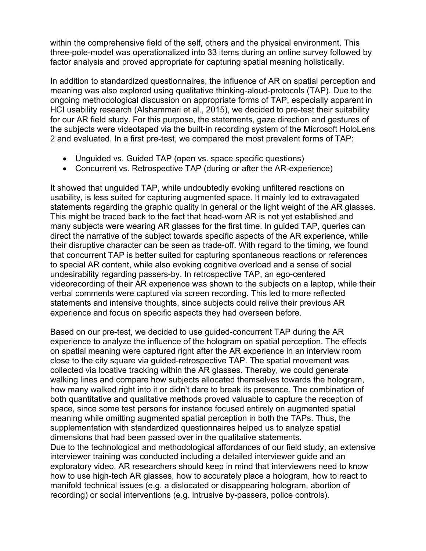within the comprehensive field of the self, others and the physical environment. This three-pole-model was operationalized into 33 items during an online survey followed by factor analysis and proved appropriate for capturing spatial meaning holistically.

In addition to standardized questionnaires, the influence of AR on spatial perception and meaning was also explored using qualitative thinking-aloud-protocols (TAP). Due to the ongoing methodological discussion on appropriate forms of TAP, especially apparent in HCI usability research (Alshammari et al., 2015), we decided to pre-test their suitability for our AR field study. For this purpose, the statements, gaze direction and gestures of the subjects were videotaped via the built-in recording system of the Microsoft HoloLens 2 and evaluated. In a first pre-test, we compared the most prevalent forms of TAP:

- Unguided vs. Guided TAP (open vs. space specific questions)
- Concurrent vs. Retrospective TAP (during or after the AR-experience)

It showed that unguided TAP, while undoubtedly evoking unfiltered reactions on usability, is less suited for capturing augmented space. It mainly led to extravagated statements regarding the graphic quality in general or the light weight of the AR glasses. This might be traced back to the fact that head-worn AR is not yet established and many subjects were wearing AR glasses for the first time. In guided TAP, queries can direct the narrative of the subject towards specific aspects of the AR experience, while their disruptive character can be seen as trade-off. With regard to the timing, we found that concurrent TAP is better suited for capturing spontaneous reactions or references to special AR content, while also evoking cognitive overload and a sense of social undesirability regarding passers-by. In retrospective TAP, an ego-centered videorecording of their AR experience was shown to the subjects on a laptop, while their verbal comments were captured via screen recording. This led to more reflected statements and intensive thoughts, since subjects could relive their previous AR experience and focus on specific aspects they had overseen before.

Based on our pre-test, we decided to use guided-concurrent TAP during the AR experience to analyze the influence of the hologram on spatial perception. The effects on spatial meaning were captured right after the AR experience in an interview room close to the city square via guided-retrospective TAP. The spatial movement was collected via locative tracking within the AR glasses. Thereby, we could generate walking lines and compare how subjects allocated themselves towards the hologram, how many walked right into it or didn't dare to break its presence. The combination of both quantitative and qualitative methods proved valuable to capture the reception of space, since some test persons for instance focused entirely on augmented spatial meaning while omitting augmented spatial perception in both the TAPs. Thus, the supplementation with standardized questionnaires helped us to analyze spatial dimensions that had been passed over in the qualitative statements. Due to the technological and methodological affordances of our field study, an extensive interviewer training was conducted including a detailed interviewer guide and an exploratory video. AR researchers should keep in mind that interviewers need to know how to use high-tech AR glasses, how to accurately place a hologram, how to react to manifold technical issues (e.g. a dislocated or disappearing hologram, abortion of recording) or social interventions (e.g. intrusive by-passers, police controls).